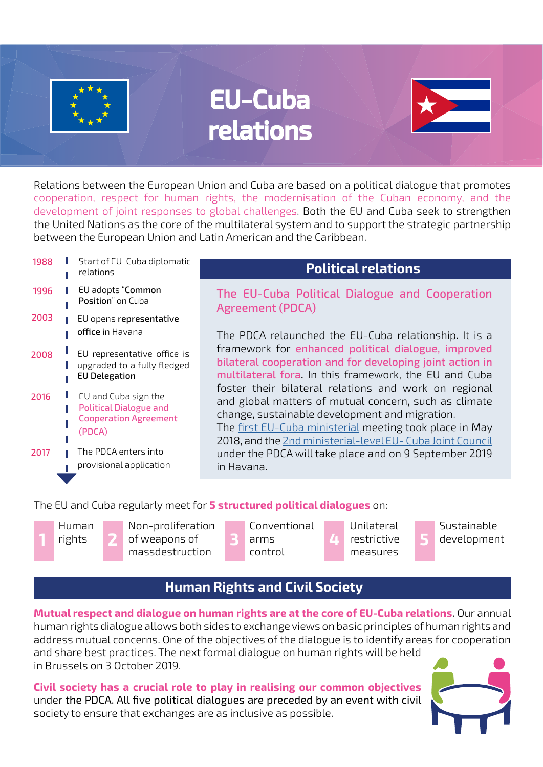

# EU-Cuba relations



Relations between the European Union and Cuba are based on a political dialogue that promotes cooperation, respect for human rights, the modernisation of the Cuban economy, and the development of joint responses to global challenges. Both the EU and Cuba seek to strengthen the United Nations as the core of the multilateral system and to support the strategic partnership between the European Union and Latin American and the Caribbean.

| 1988 | Start of EU-Cuba diplomatic<br>relations                                                        | <b>Political relations</b>                                                                                                                                                                                                                                                                                                                                                                                                                                                                                                                                                                                  |
|------|-------------------------------------------------------------------------------------------------|-------------------------------------------------------------------------------------------------------------------------------------------------------------------------------------------------------------------------------------------------------------------------------------------------------------------------------------------------------------------------------------------------------------------------------------------------------------------------------------------------------------------------------------------------------------------------------------------------------------|
| 1996 | EU adopts "Common<br>Position" on Cuba                                                          | The EU-Cuba Political Dialogue and Cooperation<br><b>Agreement (PDCA)</b><br>The PDCA relaunched the EU-Cuba relationship. It is a<br>framework for enhanced political dialogue, improved<br>bilateral cooperation and for developing joint action in<br>multilateral fora. In this framework, the EU and Cuba<br>foster their bilateral relations and work on regional<br>and global matters of mutual concern, such as climate<br>change, sustainable development and migration.<br>The first EU-Cuba ministerial meeting took place in May<br>2018, and the 2nd ministerial-level EU- Cuba Joint Council |
| 2003 | EU opens representative<br>office in Havana                                                     |                                                                                                                                                                                                                                                                                                                                                                                                                                                                                                                                                                                                             |
| 2008 | EU representative office is<br>upgraded to a fully fledged<br><b>EU Delegation</b>              |                                                                                                                                                                                                                                                                                                                                                                                                                                                                                                                                                                                                             |
| 2016 | EU and Cuba sign the<br><b>Political Dialogue and</b><br><b>Cooperation Agreement</b><br>(PDCA) |                                                                                                                                                                                                                                                                                                                                                                                                                                                                                                                                                                                                             |
| 2017 | The PDCA enters into<br>provisional application                                                 | under the PDCA will take place and on 9 September 2019<br>in Havana.                                                                                                                                                                                                                                                                                                                                                                                                                                                                                                                                        |
|      |                                                                                                 |                                                                                                                                                                                                                                                                                                                                                                                                                                                                                                                                                                                                             |

### The EU and Cuba regularly meet for **5 structured political dialogues** on:



Non-proliferation of weapons of **1 2 3 4 5** massdestruction

Conventional arms control

Unilateral restrictive measures

Sustainable development

# **Human Rights and Civil Society**

**Mutual respect and dialogue on human rights are at the core of EU-Cuba relations**. Our annual human rights dialogue allows both sides to exchange views on basic principles of human rights and address mutual concerns. One of the objectives of the dialogue is to identify areas for cooperation and share best practices. The next formal dialogue on human rights will be held in Brussels on 3 October 2019.

**Civil society has a crucial role to play in realising our common objectives** under the PDCA. All five political dialogues are preceded by an event with civil society to ensure that exchanges are as inclusive as possible.